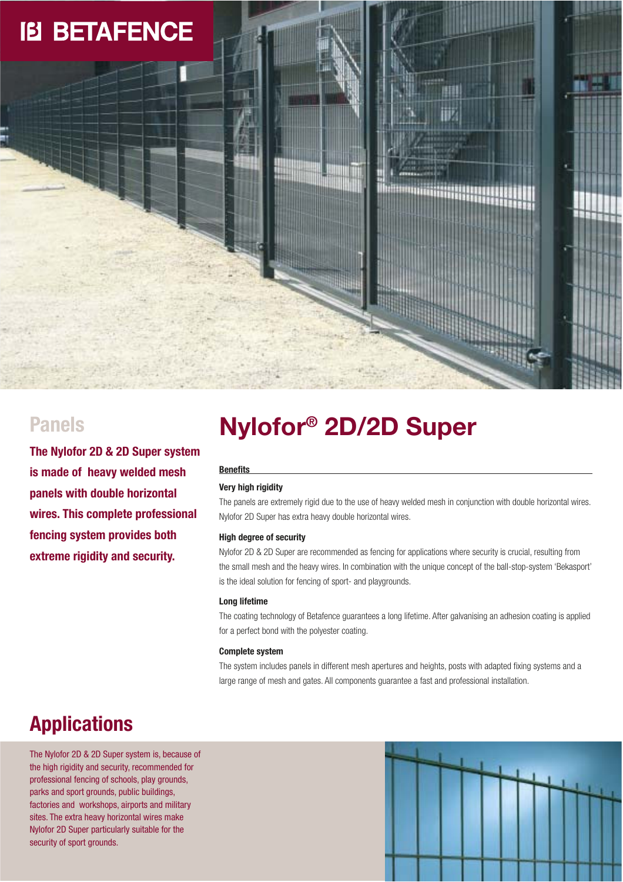# **IB BETAFENCE**

**The Nylofor 2D & 2D Super system is made of heavy welded mesh panels with double horizontal wires. This complete professional fencing system provides both extreme rigidity and security.** 

# **Nylofor® Panels 2D/2D Super**

### **Benefits**

### **Very high rigidity**

The panels are extremely rigid due to the use of heavy welded mesh in conjunction with double horizontal wires. Nylofor 2D Super has extra heavy double horizontal wires.

### **High degree of security**

Nylofor 2D & 2D Super are recommended as fencing for applications where security is crucial, resulting from the small mesh and the heavy wires. In combination with the unique concept of the ball-stop-system 'Bekasport' is the ideal solution for fencing of sport- and playgrounds.

### **Long lifetime**

The coating technology of Betafence guarantees a long lifetime. After galvanising an adhesion coating is applied for a perfect bond with the polyester coating.

### **Complete system**

The system includes panels in different mesh apertures and heights, posts with adapted fixing systems and a large range of mesh and gates. All components guarantee a fast and professional installation.

## **Applications**

The Nylofor 2D & 2D Super system is, because of the high rigidity and security, recommended for professional fencing of schools, play grounds, parks and sport grounds, public buildings, factories and workshops, airports and military sites. The extra heavy horizontal wires make Nylofor 2D Super particularly suitable for the security of sport grounds.